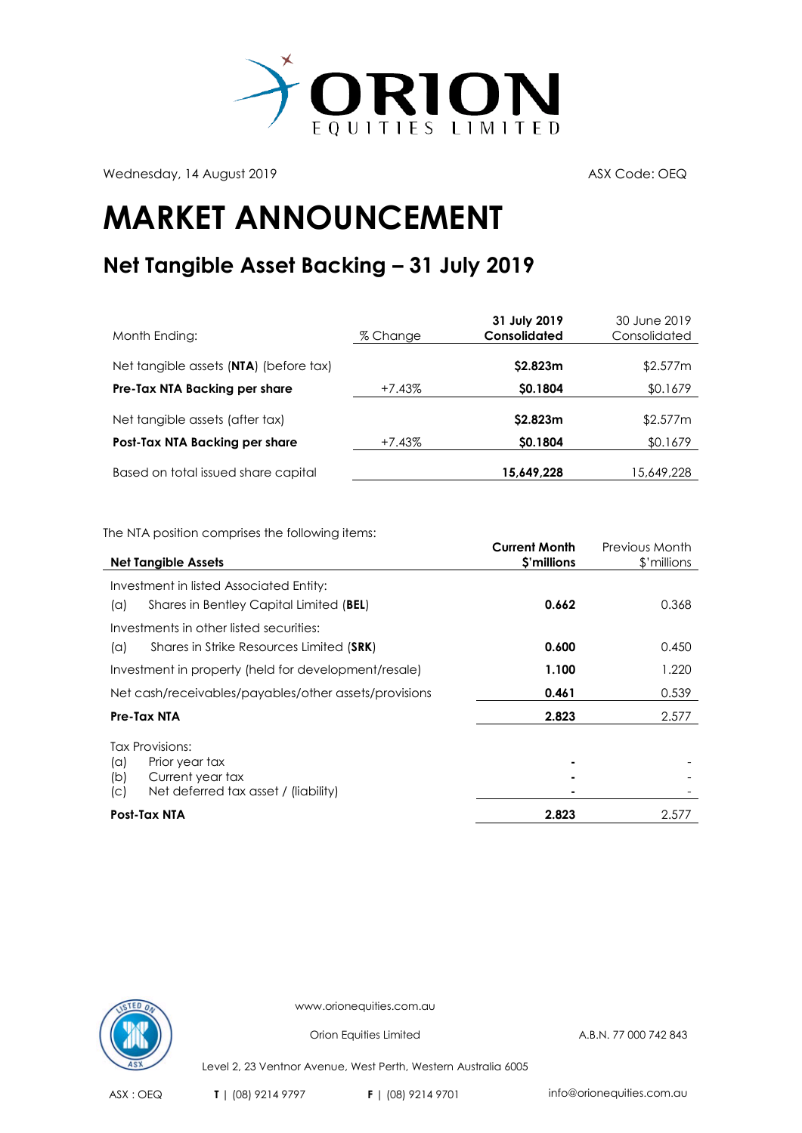

Wednesday, 14 August 2019 ASX Code: OEQ

## **MARKET ANNOUNCEMENT**

## **Net Tangible Asset Backing – 31 July 2019**

| Month Ending:                          | % Change | 31 July 2019<br><b>Consolidated</b> | 30 June 2019<br>Consolidated |
|----------------------------------------|----------|-------------------------------------|------------------------------|
| Net tangible assets (NTA) (before tax) |          | \$2.823m                            | \$2.577m                     |
| Pre-Tax NTA Backing per share          | +7.43%   | \$0.1804                            | \$0.1679                     |
| Net tangible assets (after tax)        |          | \$2.823m                            | \$2.577m                     |
| Post-Tax NTA Backing per share         | +7.43%   | \$0.1804                            | \$0.1679                     |
| Based on total issued share capital    |          | 15,649,228                          | 15,649,228                   |

The NTA position comprises the following items:

|                                                       | <b>Current Month</b> | Previous Month |
|-------------------------------------------------------|----------------------|----------------|
| <b>Net Tangible Assets</b>                            | \$'millions          | \$'millions    |
| Investment in listed Associated Entity:               |                      |                |
| Shares in Bentley Capital Limited (BEL)<br>(a)        | 0.662                | 0.368          |
| Investments in other listed securities:               |                      |                |
| Shares in Strike Resources Limited (SRK)<br>(a)       | 0.600                | 0.450          |
| Investment in property (held for development/resale)  | 1.100                | 1.220          |
| Net cash/receivables/payables/other assets/provisions | 0.461                | 0.539          |
| Pre-Tax NTA                                           | 2.823                | 2.577          |
| Tax Provisions:                                       |                      |                |
| Prior year tax<br>$(\alpha)$                          |                      |                |
| Current year tax<br>(b)                               |                      |                |
| Net deferred tax asset / (liability)<br>(C)           |                      |                |
| Post-Tax NTA                                          | 2.823                | 2.577          |



www.orionequities.com.au

Orion Equities Limited A.B.N. 77 000 742 843

Level 2, 23 Ventnor Avenue, West Perth, Western Australia 6005